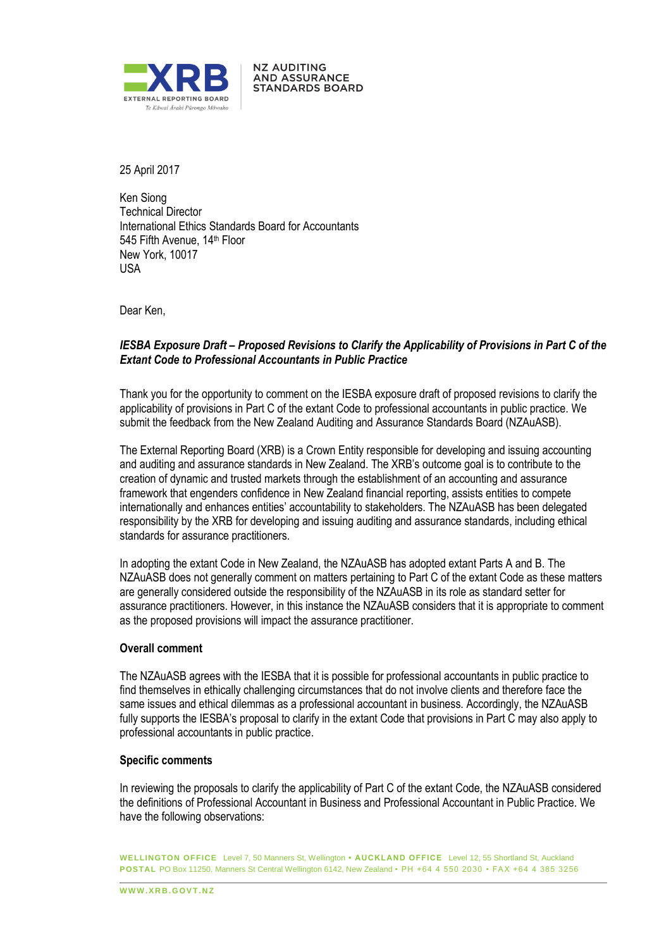

25 April 2017

Ken Siong Technical Director International Ethics Standards Board for Accountants 545 Fifth Avenue, 14<sup>th</sup> Floor New York, 10017 USA

**NZ AUDITING AND ASSURANCE STANDARDS BOARD** 

Dear Ken,

# *IESBA Exposure Draft – Proposed Revisions to Clarify the Applicability of Provisions in Part C of the Extant Code to Professional Accountants in Public Practice*

Thank you for the opportunity to comment on the IESBA exposure draft of proposed revisions to clarify the applicability of provisions in Part C of the extant Code to professional accountants in public practice. We submit the feedback from the New Zealand Auditing and Assurance Standards Board (NZAuASB).

The External Reporting Board (XRB) is a Crown Entity responsible for developing and issuing accounting and auditing and assurance standards in New Zealand. The XRB's outcome goal is to contribute to the creation of dynamic and trusted markets through the establishment of an accounting and assurance framework that engenders confidence in New Zealand financial reporting, assists entities to compete internationally and enhances entities' accountability to stakeholders. The NZAuASB has been delegated responsibility by the XRB for developing and issuing auditing and assurance standards, including ethical standards for assurance practitioners.

In adopting the extant Code in New Zealand, the NZAuASB has adopted extant Parts A and B. The NZAuASB does not generally comment on matters pertaining to Part C of the extant Code as these matters are generally considered outside the responsibility of the NZAuASB in its role as standard setter for assurance practitioners. However, in this instance the NZAuASB considers that it is appropriate to comment as the proposed provisions will impact the assurance practitioner.

### **Overall comment**

The NZAuASB agrees with the IESBA that it is possible for professional accountants in public practice to find themselves in ethically challenging circumstances that do not involve clients and therefore face the same issues and ethical dilemmas as a professional accountant in business. Accordingly, the NZAuASB fully supports the IESBA's proposal to clarify in the extant Code that provisions in Part C may also apply to professional accountants in public practice.

#### **Specific comments**

In reviewing the proposals to clarify the applicability of Part C of the extant Code, the NZAuASB considered the definitions of Professional Accountant in Business and Professional Accountant in Public Practice. We have the following observations:

**WELLINGTON OFFICE** Level 7, 50 Manners St, Wellington **• AUCKLAND OFFICE** Level 12, 55 Shortland St, Auckland **POSTAL** PO Box 11250, Manners St Central Wellington 6142, New Zealand • PH +64 4 550 2030 • FAX +64 4 385 3256